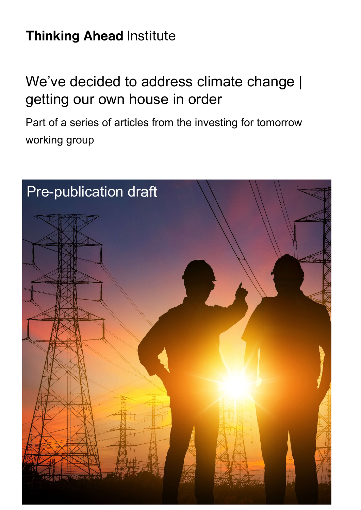# **Thinking Ahead Institute**

# We've decided to address climate change | getting our own house in order

Part of a series of articles from the investing for tomorrow working group

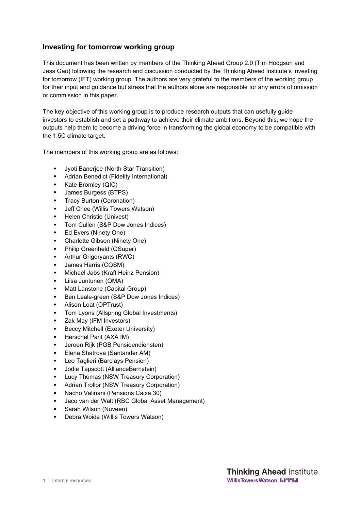## **Investing for tomorrow working group**

This document has been written by members of the Thinking Ahead Group 2.0 (Tim Hodgson and Jess Gao) following the research and discussion conducted by the Thinking Ahead Institute's investing for tomorrow (IFT) working group. The authors are very grateful to the members of the working group for their input and guidance but stress that the authors alone are responsible for any errors of omission or commission in this paper.

The key objective of this working group is to produce research outputs that can usefully guide investors to establish and set a pathway to achieve their climate ambitions. Beyond this, we hope the outputs help them to become a driving force in transforming the global economy to be compatible with the 1.5C climate target.

The members of this working group are as follows:

- **Jyoti Banerjee (North Star Transition)**
- Adrian Benedict (Fidelity International)
- Kate Bromley (QIC)
- **James Burgess (BTPS)**
- Tracy Burton (Coronation)
- **Jeff Chee (Willis Towers Watson)**
- **-** Helen Christie (Univest)
- **Tom Cullen (S&P Dow Jones Indices)**
- **Ed Evers (Ninety One)**
- Charlotte Gibson (Ninety One)
- **•** Philip Greenheld (QSuper)
- **Arthur Grigoryants (RWC)**
- **James Harris (CQSM)**
- **Michael Jabs (Kraft Heinz Pension)**
- Liisa Juntunen (QMA)
- Matt Lanstone (Capital Group)
- **Ben Leale-green (S&P Dow Jones Indices)**
- **Alison Loat (OPTrust)**
- Tom Lyons (Allspring Global Investments)
- **EXEC** Zak May (IFM Investors)
- **Beccy Mitchell (Exeter University)**
- **Herschel Pant (AXA IM)**
- **Jeroen Rijk (PGB Pensioendiensten)**
- **Elena Shatrova (Santander AM)**
- Leo Taglieri (Barclays Pension)
- **Jodie Tapscott (AllianceBernstein)**
- **Lucy Thomas (NSW Treasury Corporation)**
- **Adrian Trollor (NSW Treasury Corporation)**
- Nacho Valiñani (Pensions Caixa 30)
- Jaco van der Walt (RBC Global Asset Management)
- **Sarah Wilson (Nuveen)**
- **-** Debra Woida (Willis Towers Watson)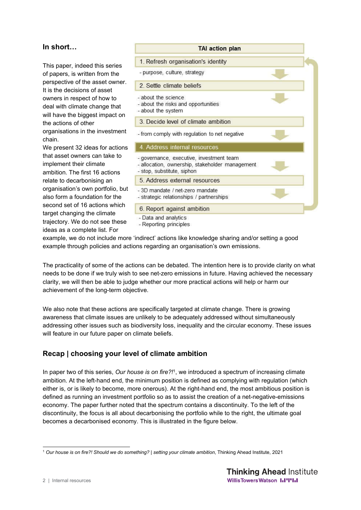## **In short…**

This paper, indeed this series of papers, is written from the perspective of the asset owner. It is the decisions of asset owners in respect of how to deal with climate change that will have the biggest impact on the actions of other organisations in the investment chain. We present 32 ideas for actions

that asset owners can take to implement their climate ambition. The first 16 actions relate to decarbonising an organisation's own portfolio, but also form a foundation for the second set of 16 actions which target changing the climate trajectory. We do not see these ideas as a complete list. For



example, we do not include more 'indirect' actions like knowledge sharing and/or setting a good example through policies and actions regarding an organisation's own emissions.

The practicality of some of the actions can be debated. The intention here is to provide clarity on what needs to be done if we truly wish to see net-zero emissions in future. Having achieved the necessary clarity, we will then be able to judge whether our more practical actions will help or harm our achievement of the long-term objective.

We also note that these actions are specifically targeted at climate change. There is growing awareness that climate issues are unlikely to be adequately addressed without simultaneously addressing other issues such as biodiversity loss, inequality and the circular economy. These issues will feature in our future paper on climate beliefs.

## **Recap | choosing your level of climate ambition**

In paper two of this series, *Our house is on fire?!*1, we introduced a spectrum of increasing climate ambition. At the left-hand end, the minimum position is defined as complying with regulation (which either is, or is likely to become, more onerous). At the right-hand end, the most ambitious position is defined as running an investment portfolio so as to assist the creation of a net-negative-emissions economy. The paper further noted that the spectrum contains a discontinuity. To the left of the discontinuity, the focus is all about decarbonising the portfolio while to the right, the ultimate goal becomes a decarbonised economy. This is illustrated in the figure below.

<sup>1</sup> *Our house is on fire?! Should we do something? | setting your climate ambition*, Thinking Ahead Institute, 2021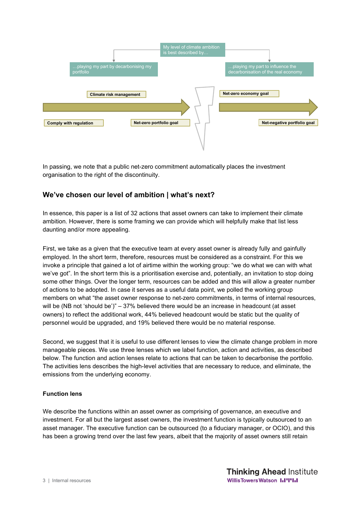

In passing, we note that a public net-zero commitment automatically places the investment organisation to the right of the discontinuity.

## **We've chosen our level of ambition | what's next?**

In essence, this paper is a list of 32 actions that asset owners can take to implement their climate ambition. However, there is some framing we can provide which will helpfully make that list less daunting and/or more appealing.

First, we take as a given that the executive team at every asset owner is already fully and gainfully employed. In the short term, therefore, resources must be considered as a constraint. For this we invoke a principle that gained a lot of airtime within the working group: "we do what we can with what we've got". In the short term this is a prioritisation exercise and, potentially, an invitation to stop doing some other things. Over the longer term, resources can be added and this will allow a greater number of actions to be adopted. In case it serves as a useful data point, we polled the working group members on what "the asset owner response to net-zero commitments, in terms of internal resources, will be (NB not 'should be')" – 37% believed there would be an increase in headcount (at asset owners) to reflect the additional work, 44% believed headcount would be static but the quality of personnel would be upgraded, and 19% believed there would be no material response.

Second, we suggest that it is useful to use different lenses to view the climate change problem in more manageable pieces. We use three lenses which we label function, action and activities, as described below. The function and action lenses relate to actions that can be taken to decarbonise the portfolio. The activities lens describes the high-level activities that are necessary to reduce, and eliminate, the emissions from the underlying economy.

## **Function lens**

We describe the functions within an asset owner as comprising of governance, an executive and investment. For all but the largest asset owners, the investment function is typically outsourced to an asset manager. The executive function can be outsourced (to a fiduciary manager, or OCIO), and this has been a growing trend over the last few years, albeit that the majority of asset owners still retain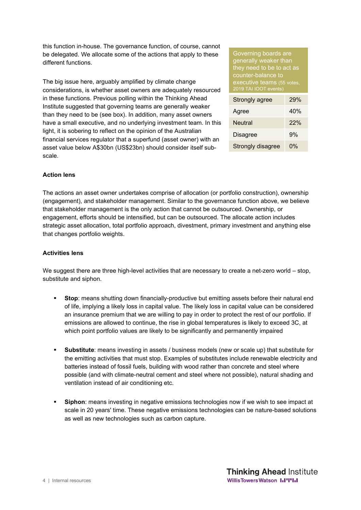this function in-house. The governance function, of course, cannot be delegated. We allocate some of the actions that apply to these different functions.

The big issue here, arguably amplified by climate change considerations, is whether asset owners are adequately resourced in these functions. Previous polling within the Thinking Ahead Institute suggested that governing teams are generally weaker than they need to be (see box). In addition, many asset owners have a small executive, and no underlying investment team. In this light, it is sobering to reflect on the opinion of the Australian financial services regulator that a superfund (asset owner) with an asset value below A\$30bn (US\$23bn) should consider itself subscale.

Governing boards are generally weaker than they need to be to act as counter-balance to executive teams (55 votes,

| Strongly agree    | 29% |
|-------------------|-----|
| Agree             | 40% |
| Neutral           | 22% |
| <b>Disagree</b>   | 9%  |
| Strongly disagree | በ%  |

## **Action lens**

The actions an asset owner undertakes comprise of allocation (or portfolio construction), ownership (engagement), and stakeholder management. Similar to the governance function above, we believe that stakeholder management is the only action that cannot be outsourced. Ownership, or engagement, efforts should be intensified, but can be outsourced. The allocate action includes strategic asset allocation, total portfolio approach, divestment, primary investment and anything else that changes portfolio weights.

### **Activities lens**

We suggest there are three high-level activities that are necessary to create a net-zero world – stop, substitute and siphon.

- **Stop**: means shutting down financially-productive but emitting assets before their natural end of life, implying a likely loss in capital value. The likely loss in capital value can be considered an insurance premium that we are willing to pay in order to protect the rest of our portfolio. If emissions are allowed to continue, the rise in global temperatures is likely to exceed 3C, at which point portfolio values are likely to be significantly and permanently impaired
- **Substitute**: means investing in assets / business models (new or scale up) that substitute for the emitting activities that must stop. Examples of substitutes include renewable electricity and batteries instead of fossil fuels, building with wood rather than concrete and steel where possible (and with climate-neutral cement and steel where not possible), natural shading and ventilation instead of air conditioning etc.
- **Siphon**: means investing in negative emissions technologies now if we wish to see impact at scale in 20 years' time. These negative emissions technologies can be nature-based solutions as well as new technologies such as carbon capture.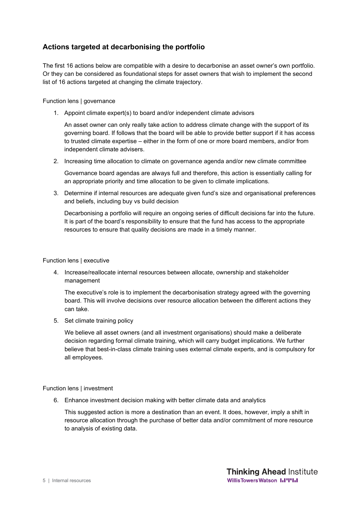# **Actions targeted at decarbonising the portfolio**

The first 16 actions below are compatible with a desire to decarbonise an asset owner's own portfolio. Or they can be considered as foundational steps for asset owners that wish to implement the second list of 16 actions targeted at changing the climate trajectory.

Function lens | governance

1. Appoint climate expert(s) to board and/or independent climate advisors

An asset owner can only really take action to address climate change with the support of its governing board. If follows that the board will be able to provide better support if it has access to trusted climate expertise – either in the form of one or more board members, and/or from independent climate advisers.

2. Increasing time allocation to climate on governance agenda and/or new climate committee

Governance board agendas are always full and therefore, this action is essentially calling for an appropriate priority and time allocation to be given to climate implications.

3. Determine if internal resources are adequate given fund's size and organisational preferences and beliefs, including buy vs build decision

Decarbonising a portfolio will require an ongoing series of difficult decisions far into the future. It is part of the board's responsibility to ensure that the fund has access to the appropriate resources to ensure that quality decisions are made in a timely manner.

#### Function lens | executive

4. Increase/reallocate internal resources between allocate, ownership and stakeholder management

The executive's role is to implement the decarbonisation strategy agreed with the governing board. This will involve decisions over resource allocation between the different actions they can take.

5. Set climate training policy

We believe all asset owners (and all investment organisations) should make a deliberate decision regarding formal climate training, which will carry budget implications. We further believe that best-in-class climate training uses external climate experts, and is compulsory for all employees.

#### Function lens | investment

6. Enhance investment decision making with better climate data and analytics

This suggested action is more a destination than an event. It does, however, imply a shift in resource allocation through the purchase of better data and/or commitment of more resource to analysis of existing data.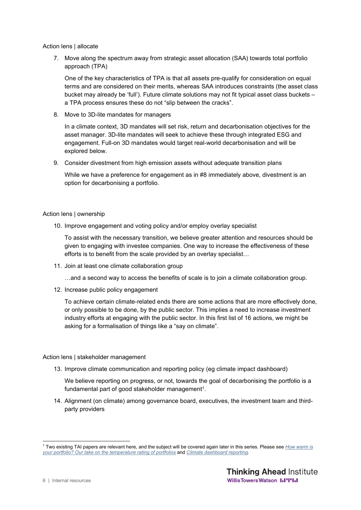Action lens | allocate

7. Move along the spectrum away from strategic asset allocation (SAA) towards total portfolio approach (TPA)

One of the key characteristics of TPA is that all assets pre-qualify for consideration on equal terms and are considered on their merits, whereas SAA introduces constraints (the asset class bucket may already be 'full'). Future climate solutions may not fit typical asset class buckets – a TPA process ensures these do not "slip between the cracks".

8. Move to 3D-lite mandates for managers

In a climate context, 3D mandates will set risk, return and decarbonisation objectives for the asset manager. 3D-lite mandates will seek to achieve these through integrated ESG and engagement. Full-on 3D mandates would target real-world decarbonisation and will be explored below.

9. Consider divestment from high emission assets without adequate transition plans

While we have a preference for engagement as in #8 immediately above, divestment is an option for decarbonising a portfolio.

#### Action lens | ownership

10. Improve engagement and voting policy and/or employ overlay specialist

To assist with the necessary transition, we believe greater attention and resources should be given to engaging with investee companies. One way to increase the effectiveness of these efforts is to benefit from the scale provided by an overlay specialist…

- 11. Join at least one climate collaboration group
	- …and a second way to access the benefits of scale is to join a climate collaboration group.
- 12. Increase public policy engagement

To achieve certain climate-related ends there are some actions that are more effectively done, or only possible to be done, by the public sector. This implies a need to increase investment industry efforts at engaging with the public sector. In this first list of 16 actions, we might be asking for a formalisation of things like a "say on climate".

#### Action lens | stakeholder management

13. Improve climate communication and reporting policy (eg climate impact dashboard)

We believe reporting on progress, or not, towards the goal of decarbonising the portfolio is a fundamental part of good stakeholder management<sup>1</sup>.

14. Alignment (on climate) among governance board, executives, the investment team and thirdparty providers

<sup>1</sup> Two existing TAI papers are relevant here, and the subject will be covered again later in this series. Please see *How warm is your portfolio? Our take on the temperature rating of portfolios* and *Climate dashboard reporting.*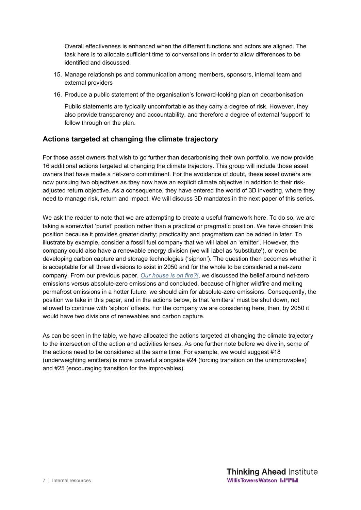Overall effectiveness is enhanced when the different functions and actors are aligned. The task here is to allocate sufficient time to conversations in order to allow differences to be identified and discussed.

- 15. Manage relationships and communication among members, sponsors, internal team and external providers
- 16. Produce a public statement of the organisation's forward-looking plan on decarbonisation

Public statements are typically uncomfortable as they carry a degree of risk. However, they also provide transparency and accountability, and therefore a degree of external 'support' to follow through on the plan.

## **Actions targeted at changing the climate trajectory**

For those asset owners that wish to go further than decarbonising their own portfolio, we now provide 16 additional actions targeted at changing the climate trajectory. This group will include those asset owners that have made a net-zero commitment. For the avoidance of doubt, these asset owners are now pursuing two objectives as they now have an explicit climate objective in addition to their riskadjusted return objective. As a consequence, they have entered the world of 3D investing, where they need to manage risk, return and impact. We will discuss 3D mandates in the next paper of this series.

We ask the reader to note that we are attempting to create a useful framework here. To do so, we are taking a somewhat 'purist' position rather than a practical or pragmatic position. We have chosen this position because it provides greater clarity; practicality and pragmatism can be added in later. To illustrate by example, consider a fossil fuel company that we will label an 'emitter'. However, the company could also have a renewable energy division (we will label as 'substitute'), or even be developing carbon capture and storage technologies ('siphon'). The question then becomes whether it is acceptable for all three divisions to exist in 2050 and for the whole to be considered a net-zero company. From our previous paper, *Our house is on fire?!*, we discussed the belief around net-zero emissions versus absolute-zero emissions and concluded, because of higher wildfire and melting permafrost emissions in a hotter future, we should aim for absolute-zero emissions. Consequently, the position we take in this paper, and in the actions below, is that 'emitters' must be shut down, not allowed to continue with 'siphon' offsets. For the company we are considering here, then, by 2050 it would have two divisions of renewables and carbon capture.

As can be seen in the table, we have allocated the actions targeted at changing the climate trajectory to the intersection of the action and activities lenses. As one further note before we dive in, some of the actions need to be considered at the same time. For example, we would suggest #18 (underweighting emitters) is more powerful alongside #24 (forcing transition on the unimprovables) and #25 (encouraging transition for the improvables).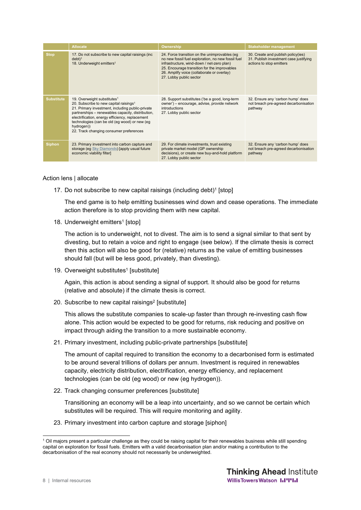|                   | <b>Allocate</b>                                                                                                                                                                                                                                                                                                                                                     | <b>Ownership</b>                                                                                                                                                                                                                                                           | <b>Stakeholder management</b>                                                                            |
|-------------------|---------------------------------------------------------------------------------------------------------------------------------------------------------------------------------------------------------------------------------------------------------------------------------------------------------------------------------------------------------------------|----------------------------------------------------------------------------------------------------------------------------------------------------------------------------------------------------------------------------------------------------------------------------|----------------------------------------------------------------------------------------------------------|
| <b>Stop</b>       | 17. Do not subscribe to new capital raisings (inc.<br>$debt)^1$<br>18. Underweight emitters <sup>1</sup>                                                                                                                                                                                                                                                            | 24. Force transition on the unimprovables (eg<br>no new fossil fuel exploration, no new fossil fuel<br>infrastructure, wind-down / net-zero plan)<br>25. Encourage transition for the improvables<br>26. Amplify voice (collaborate or overlay)<br>27. Lobby public sector | 30. Create and publish policy(ies)<br>31. Publish investment case justifying<br>actions to stop emitters |
| <b>Substitute</b> | 19. Overweight substitutes <sup>1</sup><br>20. Subscribe to new capital raisings <sup>1</sup><br>21. Primary investment, including public-private<br>partnerships - renewables capacity, distribution,<br>electrification, energy efficiency, replacement<br>technologies (can be old (eg wood) or new (eg<br>hydrogen))<br>22. Track changing consumer preferences | 28. Support substitutes ('be a good, long-term<br>owner') - encourage, advise, provide network<br>introductions<br>27. Lobby public sector                                                                                                                                 | 32. Ensure any 'carbon hump' does<br>not breach pre-agreed decarbonisation<br>pathway                    |
| <b>Siphon</b>     | 23. Primary investment into carbon capture and<br>storage (eg Sky Diamonds) [apply usual future<br>economic viability filter]                                                                                                                                                                                                                                       | 29. For climate investments, trust existing<br>private market model (GP ownership<br>decisions), or create new buy-and-hold platform<br>27. Lobby public sector                                                                                                            | 32. Ensure any 'carbon hump' does<br>not breach pre-agreed decarbonisation<br>pathway                    |

#### Action lens | allocate

17. Do not subscribe to new capital raisings (including debt) $1$  [stop]

The end game is to help emitting businesses wind down and cease operations. The immediate action therefore is to stop providing them with new capital.

18. Underweight emitters<sup>1</sup> [stop]

The action is to underweight, not to divest. The aim is to send a signal similar to that sent by divesting, but to retain a voice and right to engage (see below). If the climate thesis is correct then this action will also be good for (relative) returns as the value of emitting businesses should fall (but will be less good, privately, than divesting).

19. Overweight substitutes<sup>1</sup> [substitute]

Again, this action is about sending a signal of support. It should also be good for returns (relative and absolute) if the climate thesis is correct.

20. Subscribe to new capital raisings<sup>2</sup> [substitute]

This allows the substitute companies to scale-up faster than through re-investing cash flow alone. This action would be expected to be good for returns, risk reducing and positive on impact through aiding the transition to a more sustainable economy.

21. Primary investment, including public-private partnerships [substitute]

The amount of capital required to transition the economy to a decarbonised form is estimated to be around several trillions of dollars per annum. Investment is required in renewables capacity, electricity distribution, electrification, energy efficiency, and replacement technologies (can be old (eg wood) or new (eg hydrogen)).

22. Track changing consumer preferences [substitute]

Transitioning an economy will be a leap into uncertainty, and so we cannot be certain which substitutes will be required. This will require monitoring and agility.

23. Primary investment into carbon capture and storage [siphon]

<sup>&</sup>lt;sup>1</sup> Oil majors present a particular challenge as they could be raising capital for their renewables business while still spending capital on exploration for fossil fuels. Emitters with a valid decarbonisation plan and/or making a contribution to the decarbonisation of the real economy should not necessarily be underweighted.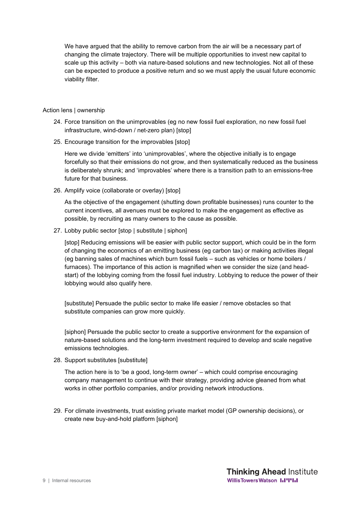We have argued that the ability to remove carbon from the air will be a necessary part of changing the climate trajectory. There will be multiple opportunities to invest new capital to scale up this activity – both via nature-based solutions and new technologies. Not all of these can be expected to produce a positive return and so we must apply the usual future economic viability filter.

#### Action lens | ownership

- 24. Force transition on the unimprovables (eg no new fossil fuel exploration, no new fossil fuel infrastructure, wind-down / net-zero plan) [stop]
- 25. Encourage transition for the improvables [stop]

Here we divide 'emitters' into 'unimprovables', where the objective initially is to engage forcefully so that their emissions do not grow, and then systematically reduced as the business is deliberately shrunk; and 'improvables' where there is a transition path to an emissions-free future for that business.

26. Amplify voice (collaborate or overlay) [stop]

As the objective of the engagement (shutting down profitable businesses) runs counter to the current incentives, all avenues must be explored to make the engagement as effective as possible, by recruiting as many owners to the cause as possible.

27. Lobby public sector [stop | substitute | siphon]

[stop] Reducing emissions will be easier with public sector support, which could be in the form of changing the economics of an emitting business (eg carbon tax) or making activities illegal (eg banning sales of machines which burn fossil fuels – such as vehicles or home boilers / furnaces). The importance of this action is magnified when we consider the size (and headstart) of the lobbying coming from the fossil fuel industry. Lobbying to reduce the power of their lobbying would also qualify here.

[substitute] Persuade the public sector to make life easier / remove obstacles so that substitute companies can grow more quickly.

[siphon] Persuade the public sector to create a supportive environment for the expansion of nature-based solutions and the long-term investment required to develop and scale negative emissions technologies.

28. Support substitutes [substitute]

The action here is to 'be a good, long-term owner' – which could comprise encouraging company management to continue with their strategy, providing advice gleaned from what works in other portfolio companies, and/or providing network introductions.

29. For climate investments, trust existing private market model (GP ownership decisions), or create new buy-and-hold platform [siphon]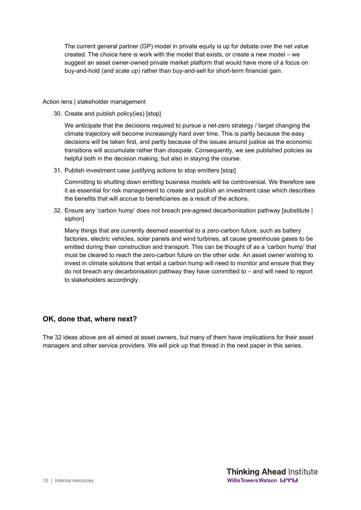The current general partner (GP) model in private equity is up for debate over the net value created. The choice here is work with the model that exists, or create a new model – we suggest an asset owner-owned private market platform that would have more of a focus on buy-and-hold (and scale up) rather than buy-and-sell for short-term financial gain.

#### Action lens | stakeholder management

30. Create and publish policy(ies) [stop]

We anticipate that the decisions required to pursue a net-zero strategy / target changing the climate trajectory will become increasingly hard over time. This is partly because the easy decisions will be taken first, and partly because of the issues around justice as the economic transitions will accumulate rather than dissipate. Consequently, we see published policies as helpful both in the decision making, but also in staying the course.

31. Publish investment case justifying actions to stop emitters [stop]

Committing to shutting down emitting business models will be controversial. We therefore see it as essential for risk management to create and publish an investment case which describes the benefits that will accrue to beneficiaries as a result of the actions.

32. Ensure any 'carbon hump' does not breach pre-agreed decarbonisation pathway [substitute | siphon]

Many things that are currently deemed essential to a zero-carbon future, such as battery factories, electric vehicles, solar panels and wind turbines, all cause greenhouse gases to be emitted during their construction and transport. This can be thought of as a 'carbon hump' that must be cleared to reach the zero-carbon future on the other side. An asset owner wishing to invest in climate solutions that entail a carbon hump will need to monitor and ensure that they do not breach any decarbonisation pathway they have committed to – and will need to report to stakeholders accordingly.

## **OK, done that, where next?**

The 32 ideas above are all aimed at asset owners, but many of them have implications for their asset managers and other service providers. We will pick up that thread in the next paper in this series.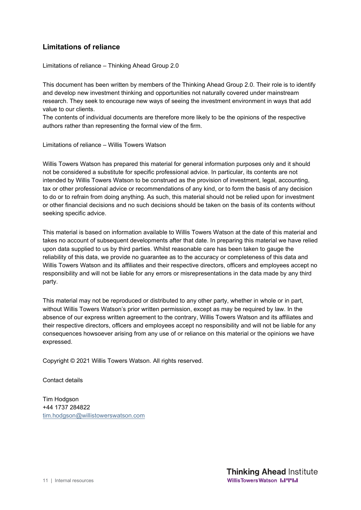# **Limitations of reliance**

Limitations of reliance – Thinking Ahead Group 2.0

This document has been written by members of the Thinking Ahead Group 2.0. Their role is to identify and develop new investment thinking and opportunities not naturally covered under mainstream research. They seek to encourage new ways of seeing the investment environment in ways that add value to our clients.

The contents of individual documents are therefore more likely to be the opinions of the respective authors rather than representing the formal view of the firm.

Limitations of reliance – Willis Towers Watson

Willis Towers Watson has prepared this material for general information purposes only and it should not be considered a substitute for specific professional advice. In particular, its contents are not intended by Willis Towers Watson to be construed as the provision of investment, legal, accounting, tax or other professional advice or recommendations of any kind, or to form the basis of any decision to do or to refrain from doing anything. As such, this material should not be relied upon for investment or other financial decisions and no such decisions should be taken on the basis of its contents without seeking specific advice.

This material is based on information available to Willis Towers Watson at the date of this material and takes no account of subsequent developments after that date. In preparing this material we have relied upon data supplied to us by third parties. Whilst reasonable care has been taken to gauge the reliability of this data, we provide no guarantee as to the accuracy or completeness of this data and Willis Towers Watson and its affiliates and their respective directors, officers and employees accept no responsibility and will not be liable for any errors or misrepresentations in the data made by any third party.

This material may not be reproduced or distributed to any other party, whether in whole or in part, without Willis Towers Watson's prior written permission, except as may be required by law. In the absence of our express written agreement to the contrary, Willis Towers Watson and its affiliates and their respective directors, officers and employees accept no responsibility and will not be liable for any consequences howsoever arising from any use of or reliance on this material or the opinions we have expressed.

Copyright © 2021 Willis Towers Watson. All rights reserved.

Contact details

Tim Hodgson +44 1737 284822 tim.hodgson@willistowerswatson.com